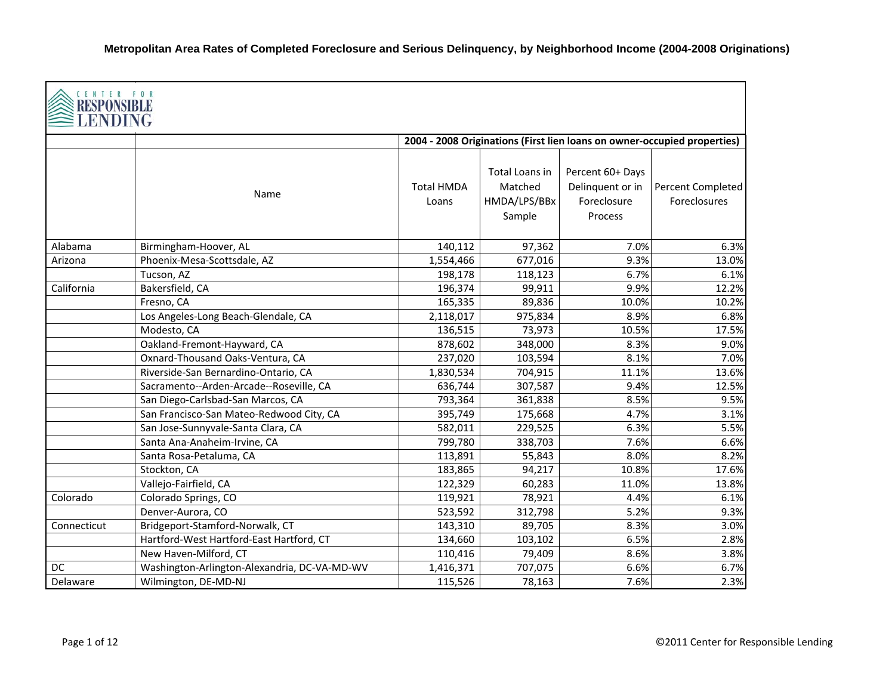| CENTER FOR<br>RESPONSIBI<br><b>ENDING</b> |                                              |                            |                                                     |                                                                |                                                                          |
|-------------------------------------------|----------------------------------------------|----------------------------|-----------------------------------------------------|----------------------------------------------------------------|--------------------------------------------------------------------------|
|                                           |                                              |                            |                                                     |                                                                | 2004 - 2008 Originations (First lien loans on owner-occupied properties) |
|                                           | Name                                         | <b>Total HMDA</b><br>Loans | Total Loans in<br>Matched<br>HMDA/LPS/BBx<br>Sample | Percent 60+ Days<br>Delinquent or in<br>Foreclosure<br>Process | Percent Completed<br>Foreclosures                                        |
| Alabama                                   | Birmingham-Hoover, AL                        | 140,112                    | 97,362                                              | 7.0%                                                           | 6.3%                                                                     |
| Arizona                                   | Phoenix-Mesa-Scottsdale, AZ                  | 1,554,466                  | 677,016                                             | 9.3%                                                           | 13.0%                                                                    |
|                                           | Tucson, AZ                                   | 198,178                    | 118,123                                             | 6.7%                                                           | 6.1%                                                                     |
| California                                | Bakersfield, CA                              | 196,374                    | 99,911                                              | 9.9%                                                           | 12.2%                                                                    |
|                                           | Fresno, CA                                   | 165,335                    | 89,836                                              | 10.0%                                                          | 10.2%                                                                    |
|                                           | Los Angeles-Long Beach-Glendale, CA          | 2,118,017                  | 975,834                                             | 8.9%                                                           | 6.8%                                                                     |
|                                           | Modesto, CA                                  | 136,515                    | 73,973                                              | 10.5%                                                          | 17.5%                                                                    |
|                                           | Oakland-Fremont-Hayward, CA                  | 878,602                    | 348,000                                             | 8.3%                                                           | 9.0%                                                                     |
|                                           | Oxnard-Thousand Oaks-Ventura, CA             | 237,020                    | 103,594                                             | 8.1%                                                           | 7.0%                                                                     |
|                                           | Riverside-San Bernardino-Ontario, CA         | 1,830,534                  | 704,915                                             | 11.1%                                                          | 13.6%                                                                    |
|                                           | Sacramento--Arden-Arcade--Roseville, CA      | 636,744                    | 307,587                                             | 9.4%                                                           | 12.5%                                                                    |
|                                           | San Diego-Carlsbad-San Marcos, CA            | 793,364                    | 361,838                                             | 8.5%                                                           | 9.5%                                                                     |
|                                           | San Francisco-San Mateo-Redwood City, CA     | 395,749                    | 175,668                                             | 4.7%                                                           | 3.1%                                                                     |
|                                           | San Jose-Sunnyvale-Santa Clara, CA           | 582,011                    | 229,525                                             | 6.3%                                                           | 5.5%                                                                     |
|                                           | Santa Ana-Anaheim-Irvine, CA                 | 799,780                    | 338,703                                             | 7.6%                                                           | 6.6%                                                                     |
|                                           | Santa Rosa-Petaluma, CA                      | 113,891                    | 55,843                                              | 8.0%                                                           | 8.2%                                                                     |
|                                           | Stockton, CA                                 | 183,865                    | 94,217                                              | 10.8%                                                          | 17.6%                                                                    |
|                                           | Vallejo-Fairfield, CA                        | 122,329                    | 60,283                                              | 11.0%                                                          | 13.8%                                                                    |
| Colorado                                  | Colorado Springs, CO                         | 119,921                    | 78,921                                              | 4.4%                                                           | 6.1%                                                                     |
|                                           | Denver-Aurora, CO                            | 523,592                    | 312,798                                             | 5.2%                                                           | 9.3%                                                                     |
| Connecticut                               | Bridgeport-Stamford-Norwalk, CT              | 143,310                    | 89,705                                              | 8.3%                                                           | 3.0%                                                                     |
|                                           | Hartford-West Hartford-East Hartford, CT     | 134,660                    | 103,102                                             | 6.5%                                                           | 2.8%                                                                     |
|                                           | New Haven-Milford, CT                        | 110,416                    | 79,409                                              | 8.6%                                                           | 3.8%                                                                     |
| DC                                        | Washington-Arlington-Alexandria, DC-VA-MD-WV | 1,416,371                  | 707,075                                             | 6.6%                                                           | 6.7%                                                                     |
| Delaware                                  | Wilmington, DE-MD-NJ                         | 115,526                    | 78,163                                              | 7.6%                                                           | 2.3%                                                                     |

┑

Г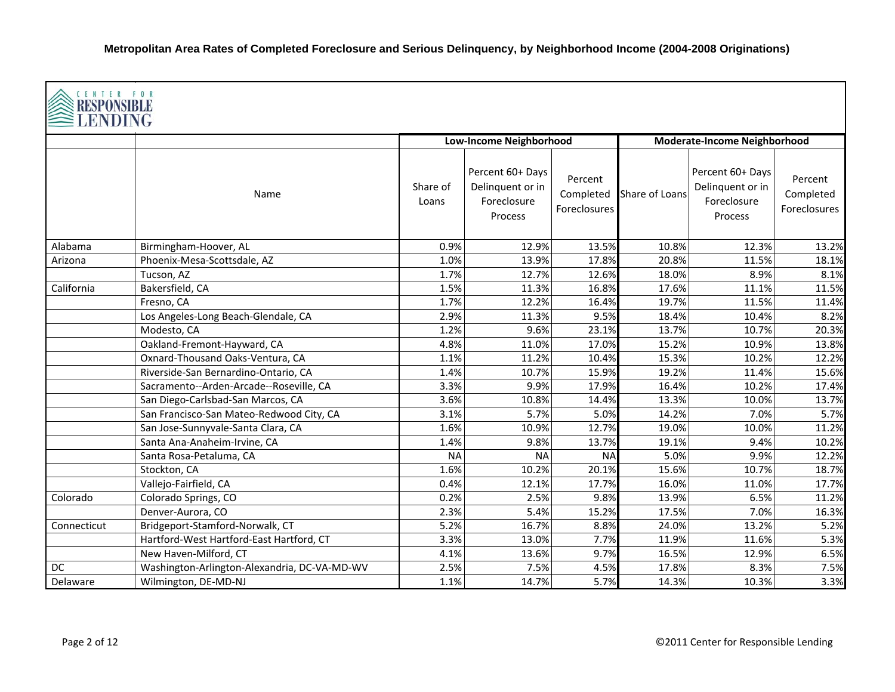| CENTER FOR<br>LENDING |                                              |                   |                                                                |                                      |                |                                                                |                                      |  |  |
|-----------------------|----------------------------------------------|-------------------|----------------------------------------------------------------|--------------------------------------|----------------|----------------------------------------------------------------|--------------------------------------|--|--|
|                       |                                              |                   | <b>Low-Income Neighborhood</b>                                 |                                      |                | <b>Moderate-Income Neighborhood</b>                            |                                      |  |  |
|                       | Name                                         | Share of<br>Loans | Percent 60+ Days<br>Delinquent or in<br>Foreclosure<br>Process | Percent<br>Completed<br>Foreclosures | Share of Loans | Percent 60+ Days<br>Delinquent or in<br>Foreclosure<br>Process | Percent<br>Completed<br>Foreclosures |  |  |
| Alabama               | Birmingham-Hoover, AL                        | 0.9%              | 12.9%                                                          | 13.5%                                | 10.8%          | 12.3%                                                          | 13.2%                                |  |  |
| Arizona               | Phoenix-Mesa-Scottsdale, AZ                  | 1.0%              | 13.9%                                                          | 17.8%                                | 20.8%          | 11.5%                                                          | 18.1%                                |  |  |
|                       | Tucson, AZ                                   | 1.7%              | 12.7%                                                          | 12.6%                                | 18.0%          | 8.9%                                                           | 8.1%                                 |  |  |
| California            | Bakersfield, CA                              | 1.5%              | 11.3%                                                          | 16.8%                                | 17.6%          | 11.1%                                                          | 11.5%                                |  |  |
|                       | Fresno, CA                                   | 1.7%              | 12.2%                                                          | 16.4%                                | 19.7%          | 11.5%                                                          | 11.4%                                |  |  |
|                       | Los Angeles-Long Beach-Glendale, CA          | 2.9%              | 11.3%                                                          | 9.5%                                 | 18.4%          | 10.4%                                                          | 8.2%                                 |  |  |
|                       | Modesto, CA                                  | 1.2%              | 9.6%                                                           | 23.1%                                | 13.7%          | 10.7%                                                          | 20.3%                                |  |  |
|                       | Oakland-Fremont-Hayward, CA                  | 4.8%              | 11.0%                                                          | 17.0%                                | 15.2%          | 10.9%                                                          | 13.8%                                |  |  |
|                       | Oxnard-Thousand Oaks-Ventura, CA             | 1.1%              | 11.2%                                                          | 10.4%                                | 15.3%          | 10.2%                                                          | 12.2%                                |  |  |
|                       | Riverside-San Bernardino-Ontario, CA         | 1.4%              | 10.7%                                                          | 15.9%                                | 19.2%          | 11.4%                                                          | 15.6%                                |  |  |
|                       | Sacramento--Arden-Arcade--Roseville, CA      | 3.3%              | 9.9%                                                           | 17.9%                                | 16.4%          | 10.2%                                                          | 17.4%                                |  |  |
|                       | San Diego-Carlsbad-San Marcos, CA            | 3.6%              | 10.8%                                                          | 14.4%                                | 13.3%          | 10.0%                                                          | 13.7%                                |  |  |
|                       | San Francisco-San Mateo-Redwood City, CA     | 3.1%              | 5.7%                                                           | 5.0%                                 | 14.2%          | 7.0%                                                           | 5.7%                                 |  |  |
|                       | San Jose-Sunnyvale-Santa Clara, CA           | 1.6%              | 10.9%                                                          | 12.7%                                | 19.0%          | 10.0%                                                          | 11.2%                                |  |  |
|                       | Santa Ana-Anaheim-Irvine, CA                 | 1.4%              | 9.8%                                                           | 13.7%                                | 19.1%          | 9.4%                                                           | 10.2%                                |  |  |
|                       | Santa Rosa-Petaluma, CA                      | <b>NA</b>         | <b>NA</b>                                                      | <b>NA</b>                            | 5.0%           | 9.9%                                                           | 12.2%                                |  |  |
|                       | Stockton, CA                                 | 1.6%              | 10.2%                                                          | 20.1%                                | 15.6%          | 10.7%                                                          | 18.7%                                |  |  |
|                       | Vallejo-Fairfield, CA                        | 0.4%              | 12.1%                                                          | 17.7%                                | 16.0%          | 11.0%                                                          | 17.7%                                |  |  |
| Colorado              | Colorado Springs, CO                         | 0.2%              | 2.5%                                                           | 9.8%                                 | 13.9%          | 6.5%                                                           | 11.2%                                |  |  |
|                       | Denver-Aurora, CO                            | 2.3%              | 5.4%                                                           | 15.2%                                | 17.5%          | 7.0%                                                           | 16.3%                                |  |  |
| Connecticut           | Bridgeport-Stamford-Norwalk, CT              | 5.2%              | 16.7%                                                          | 8.8%                                 | 24.0%          | 13.2%                                                          | 5.2%                                 |  |  |
|                       | Hartford-West Hartford-East Hartford, CT     | 3.3%              | 13.0%                                                          | 7.7%                                 | 11.9%          | 11.6%                                                          | 5.3%                                 |  |  |
|                       | New Haven-Milford, CT                        | 4.1%              | 13.6%                                                          | 9.7%                                 | 16.5%          | 12.9%                                                          | 6.5%                                 |  |  |
| DC                    | Washington-Arlington-Alexandria, DC-VA-MD-WV | 2.5%              | 7.5%                                                           | 4.5%                                 | 17.8%          | 8.3%                                                           | 7.5%                                 |  |  |
| Delaware              | Wilmington, DE-MD-NJ                         | 1.1%              | 14.7%                                                          | 5.7%                                 | 14.3%          | 10.3%                                                          | 3.3%                                 |  |  |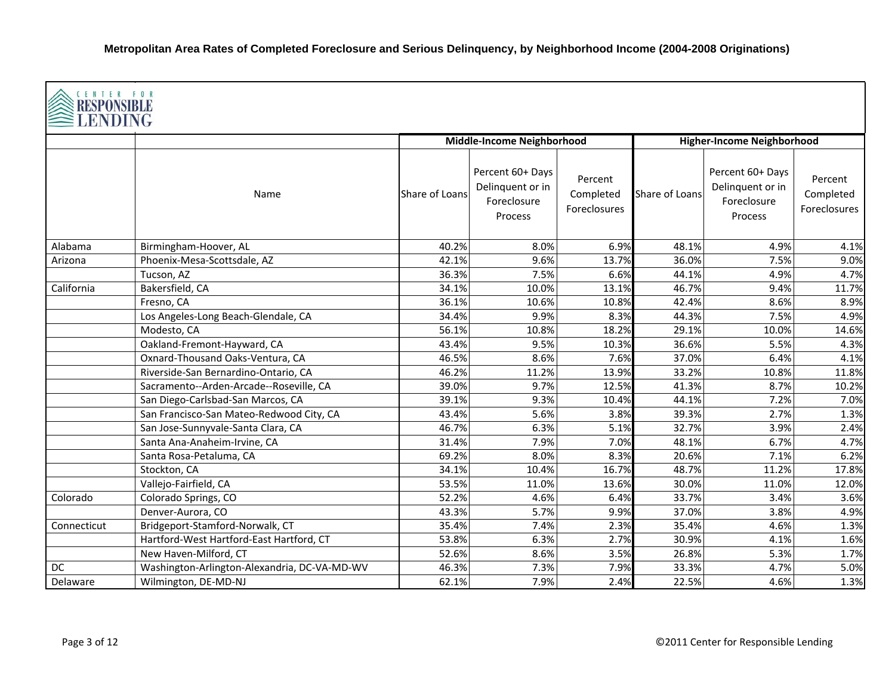| <b>CENTER FOR</b><br><b>RESPONSIBLE</b><br><b>LENDING</b> |                                              |                |                                                                |                                      |                |                                                                |                                             |  |  |
|-----------------------------------------------------------|----------------------------------------------|----------------|----------------------------------------------------------------|--------------------------------------|----------------|----------------------------------------------------------------|---------------------------------------------|--|--|
|                                                           |                                              |                | Middle-Income Neighborhood                                     |                                      |                | <b>Higher-Income Neighborhood</b>                              |                                             |  |  |
|                                                           | Name                                         | Share of Loans | Percent 60+ Days<br>Delinquent or in<br>Foreclosure<br>Process | Percent<br>Completed<br>Foreclosures | Share of Loans | Percent 60+ Days<br>Delinquent or in<br>Foreclosure<br>Process | Percent<br>Completed<br><b>Foreclosures</b> |  |  |
| Alabama                                                   | Birmingham-Hoover, AL                        | 40.2%          | 8.0%                                                           | 6.9%                                 | 48.1%          | 4.9%                                                           | 4.1%                                        |  |  |
| Arizona                                                   | Phoenix-Mesa-Scottsdale, AZ                  | 42.1%          | 9.6%                                                           | 13.7%                                | 36.0%          | 7.5%                                                           | 9.0%                                        |  |  |
|                                                           | Tucson, AZ                                   | 36.3%          | 7.5%                                                           | 6.6%                                 | 44.1%          | 4.9%                                                           | 4.7%                                        |  |  |
| California                                                | Bakersfield, CA                              | 34.1%          | 10.0%                                                          | 13.1%                                | 46.7%          | 9.4%                                                           | 11.7%                                       |  |  |
|                                                           | Fresno, CA                                   | 36.1%          | 10.6%                                                          | 10.8%                                | 42.4%          | 8.6%                                                           | 8.9%                                        |  |  |
|                                                           | Los Angeles-Long Beach-Glendale, CA          | 34.4%          | 9.9%                                                           | 8.3%                                 | 44.3%          | 7.5%                                                           | 4.9%                                        |  |  |
|                                                           | Modesto, CA                                  | 56.1%          | 10.8%                                                          | 18.2%                                | 29.1%          | 10.0%                                                          | 14.6%                                       |  |  |
|                                                           | Oakland-Fremont-Hayward, CA                  | 43.4%          | 9.5%                                                           | 10.3%                                | 36.6%          | 5.5%                                                           | 4.3%                                        |  |  |
|                                                           | Oxnard-Thousand Oaks-Ventura, CA             | 46.5%          | 8.6%                                                           | 7.6%                                 | 37.0%          | 6.4%                                                           | 4.1%                                        |  |  |
|                                                           | Riverside-San Bernardino-Ontario, CA         | 46.2%          | 11.2%                                                          | 13.9%                                | 33.2%          | 10.8%                                                          | 11.8%                                       |  |  |
|                                                           | Sacramento--Arden-Arcade--Roseville, CA      | 39.0%          | 9.7%                                                           | 12.5%                                | 41.3%          | 8.7%                                                           | 10.2%                                       |  |  |
|                                                           | San Diego-Carlsbad-San Marcos, CA            | 39.1%          | 9.3%                                                           | 10.4%                                | 44.1%          | 7.2%                                                           | 7.0%                                        |  |  |
|                                                           | San Francisco-San Mateo-Redwood City, CA     | 43.4%          | 5.6%                                                           | 3.8%                                 | 39.3%          | 2.7%                                                           | 1.3%                                        |  |  |
|                                                           | San Jose-Sunnyvale-Santa Clara, CA           | 46.7%          | 6.3%                                                           | 5.1%                                 | 32.7%          | 3.9%                                                           | 2.4%                                        |  |  |
|                                                           | Santa Ana-Anaheim-Irvine, CA                 | 31.4%          | 7.9%                                                           | 7.0%                                 | 48.1%          | 6.7%                                                           | 4.7%                                        |  |  |
|                                                           | Santa Rosa-Petaluma, CA                      | 69.2%          | 8.0%                                                           | 8.3%                                 | 20.6%          | 7.1%                                                           | 6.2%                                        |  |  |
|                                                           | Stockton, CA                                 | 34.1%          | 10.4%                                                          | 16.7%                                | 48.7%          | 11.2%                                                          | 17.8%                                       |  |  |
|                                                           | Vallejo-Fairfield, CA                        | 53.5%          | 11.0%                                                          | 13.6%                                | 30.0%          | 11.0%                                                          | 12.0%                                       |  |  |
| Colorado                                                  | Colorado Springs, CO                         | 52.2%          | 4.6%                                                           | 6.4%                                 | 33.7%          | 3.4%                                                           | 3.6%                                        |  |  |
|                                                           | Denver-Aurora, CO                            | 43.3%          | 5.7%                                                           | 9.9%                                 | 37.0%          | 3.8%                                                           | 4.9%                                        |  |  |
| Connecticut                                               | Bridgeport-Stamford-Norwalk, CT              | 35.4%          | 7.4%                                                           | 2.3%                                 | 35.4%          | 4.6%                                                           | 1.3%                                        |  |  |
|                                                           | Hartford-West Hartford-East Hartford, CT     | 53.8%          | 6.3%                                                           | 2.7%                                 | 30.9%          | 4.1%                                                           | 1.6%                                        |  |  |
|                                                           | New Haven-Milford, CT                        | 52.6%          | 8.6%                                                           | 3.5%                                 | 26.8%          | 5.3%                                                           | 1.7%                                        |  |  |
| DC                                                        | Washington-Arlington-Alexandria, DC-VA-MD-WV | 46.3%          | 7.3%                                                           | 7.9%                                 | 33.3%          | 4.7%                                                           | 5.0%                                        |  |  |
| Delaware                                                  | Wilmington, DE-MD-NJ                         | 62.1%          | 7.9%                                                           | 2.4%                                 | 22.5%          | 4.6%                                                           | 1.3%                                        |  |  |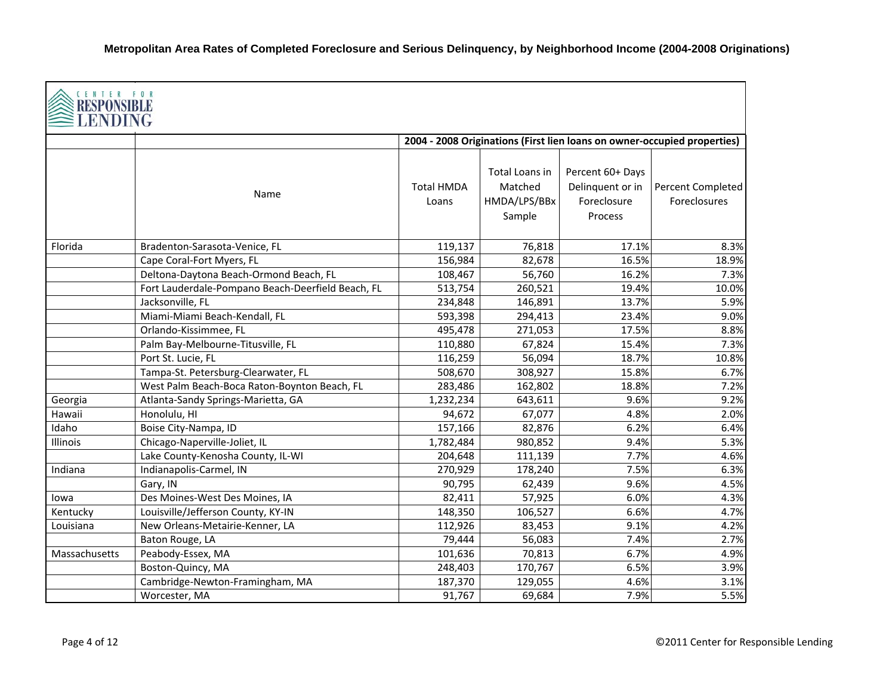| CENTER FOR<br>RESPONSI<br>ENDING |                                                   |                                                                          |                                                     |                                                                |                                   |  |  |  |  |
|----------------------------------|---------------------------------------------------|--------------------------------------------------------------------------|-----------------------------------------------------|----------------------------------------------------------------|-----------------------------------|--|--|--|--|
|                                  |                                                   | 2004 - 2008 Originations (First lien loans on owner-occupied properties) |                                                     |                                                                |                                   |  |  |  |  |
|                                  | Name                                              | <b>Total HMDA</b><br>Loans                                               | Total Loans in<br>Matched<br>HMDA/LPS/BBx<br>Sample | Percent 60+ Days<br>Delinquent or in<br>Foreclosure<br>Process | Percent Completed<br>Foreclosures |  |  |  |  |
| Florida                          | Bradenton-Sarasota-Venice, FL                     | 119,137                                                                  | 76,818                                              | 17.1%                                                          | 8.3%                              |  |  |  |  |
|                                  | Cape Coral-Fort Myers, FL                         | 156,984                                                                  | 82,678                                              | 16.5%                                                          | 18.9%                             |  |  |  |  |
|                                  | Deltona-Daytona Beach-Ormond Beach, FL            | 108,467                                                                  | 56,760                                              | 16.2%                                                          | 7.3%                              |  |  |  |  |
|                                  | Fort Lauderdale-Pompano Beach-Deerfield Beach, FL | 513,754                                                                  | 260,521                                             | 19.4%                                                          | 10.0%                             |  |  |  |  |
|                                  | Jacksonville, FL                                  | 234,848                                                                  | 146,891                                             | 13.7%                                                          | 5.9%                              |  |  |  |  |
|                                  | Miami-Miami Beach-Kendall, FL                     | 593,398                                                                  | 294,413                                             | 23.4%                                                          | 9.0%                              |  |  |  |  |
|                                  | Orlando-Kissimmee, FL                             | 495,478                                                                  | 271,053                                             | 17.5%                                                          | 8.8%                              |  |  |  |  |
|                                  | Palm Bay-Melbourne-Titusville, FL                 | 110,880                                                                  | 67,824                                              | 15.4%                                                          | 7.3%                              |  |  |  |  |
|                                  | Port St. Lucie, FL                                | 116,259                                                                  | 56,094                                              | 18.7%                                                          | 10.8%                             |  |  |  |  |
|                                  | Tampa-St. Petersburg-Clearwater, FL               | 508,670                                                                  | 308,927                                             | 15.8%                                                          | 6.7%                              |  |  |  |  |
|                                  | West Palm Beach-Boca Raton-Boynton Beach, FL      | 283,486                                                                  | 162,802                                             | 18.8%                                                          | 7.2%                              |  |  |  |  |
| Georgia                          | Atlanta-Sandy Springs-Marietta, GA                | 1,232,234                                                                | 643,611                                             | 9.6%                                                           | 9.2%                              |  |  |  |  |
| Hawaii                           | Honolulu, HI                                      | 94,672                                                                   | 67,077                                              | 4.8%                                                           | 2.0%                              |  |  |  |  |
| Idaho                            | Boise City-Nampa, ID                              | 157,166                                                                  | 82,876                                              | 6.2%                                                           | 6.4%                              |  |  |  |  |
| Illinois                         | Chicago-Naperville-Joliet, IL                     | 1,782,484                                                                | 980,852                                             | 9.4%                                                           | 5.3%                              |  |  |  |  |
|                                  | Lake County-Kenosha County, IL-WI                 | 204,648                                                                  | 111,139                                             | 7.7%                                                           | 4.6%                              |  |  |  |  |
| Indiana                          | Indianapolis-Carmel, IN                           | 270,929                                                                  | 178,240                                             | 7.5%                                                           | 6.3%                              |  |  |  |  |
|                                  | Gary, IN                                          | 90,795                                                                   | 62,439                                              | 9.6%                                                           | 4.5%                              |  |  |  |  |
| lowa                             | Des Moines-West Des Moines, IA                    | 82,411                                                                   | 57,925                                              | 6.0%                                                           | 4.3%                              |  |  |  |  |
| Kentucky                         | Louisville/Jefferson County, KY-IN                | 148,350                                                                  | 106,527                                             | 6.6%                                                           | 4.7%                              |  |  |  |  |
| Louisiana                        | New Orleans-Metairie-Kenner, LA                   | 112,926                                                                  | 83,453                                              | 9.1%                                                           | 4.2%                              |  |  |  |  |
|                                  | Baton Rouge, LA                                   | 79,444                                                                   | 56,083                                              | 7.4%                                                           | 2.7%                              |  |  |  |  |
| Massachusetts                    | Peabody-Essex, MA                                 | 101,636                                                                  | 70,813                                              | 6.7%                                                           | 4.9%                              |  |  |  |  |
|                                  | Boston-Quincy, MA                                 | 248,403                                                                  | 170,767                                             | 6.5%                                                           | 3.9%                              |  |  |  |  |
|                                  | Cambridge-Newton-Framingham, MA                   | 187,370                                                                  | 129,055                                             | 4.6%                                                           | 3.1%                              |  |  |  |  |
|                                  | Worcester, MA                                     | 91,767                                                                   | 69,684                                              | 7.9%                                                           | 5.5%                              |  |  |  |  |

г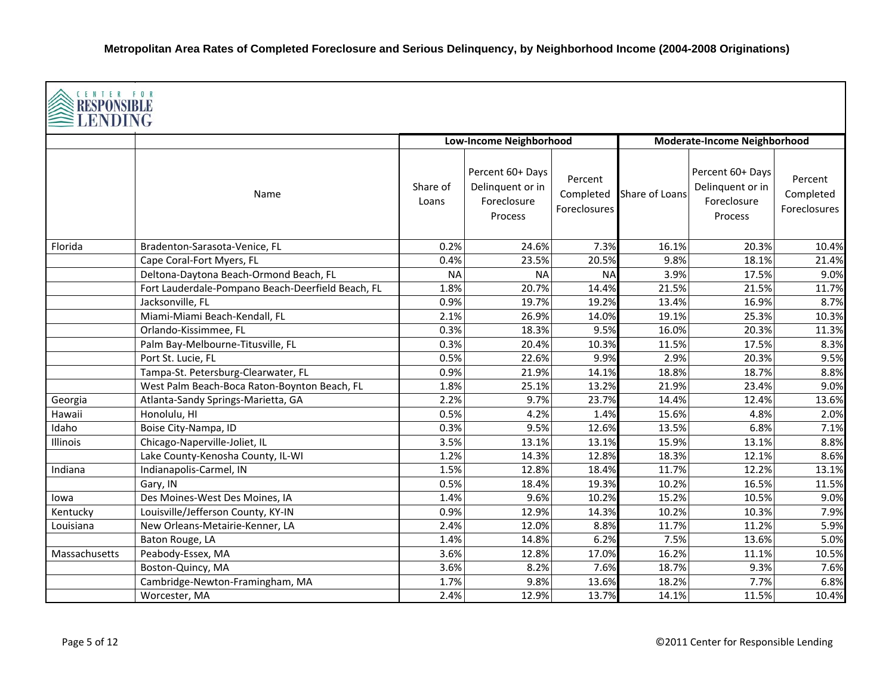| CENTER FOR<br><b>RESPONSIBLE</b><br>LENDING |                                                   |                                |                                                                |                                      |                |                                                                |                                             |  |  |
|---------------------------------------------|---------------------------------------------------|--------------------------------|----------------------------------------------------------------|--------------------------------------|----------------|----------------------------------------------------------------|---------------------------------------------|--|--|
|                                             |                                                   | <b>Low-Income Neighborhood</b> |                                                                |                                      |                | <b>Moderate-Income Neighborhood</b>                            |                                             |  |  |
|                                             | Name                                              | Share of<br>Loans              | Percent 60+ Days<br>Delinquent or in<br>Foreclosure<br>Process | Percent<br>Completed<br>Foreclosures | Share of Loans | Percent 60+ Days<br>Delinquent or in<br>Foreclosure<br>Process | Percent<br>Completed<br><b>Foreclosures</b> |  |  |
| Florida                                     | Bradenton-Sarasota-Venice, FL                     | 0.2%                           | 24.6%                                                          | 7.3%                                 | 16.1%          | 20.3%                                                          | 10.4%                                       |  |  |
|                                             | Cape Coral-Fort Myers, FL                         | 0.4%                           | 23.5%                                                          | 20.5%                                | 9.8%           | 18.1%                                                          | 21.4%                                       |  |  |
|                                             | Deltona-Daytona Beach-Ormond Beach, FL            | <b>NA</b>                      | <b>NA</b>                                                      | <b>NA</b>                            | 3.9%           | 17.5%                                                          | 9.0%                                        |  |  |
|                                             | Fort Lauderdale-Pompano Beach-Deerfield Beach, FL | 1.8%                           | 20.7%                                                          | 14.4%                                | 21.5%          | 21.5%                                                          | 11.7%                                       |  |  |
|                                             | Jacksonville, FL                                  | 0.9%                           | 19.7%                                                          | 19.2%                                | 13.4%          | 16.9%                                                          | 8.7%                                        |  |  |
|                                             | Miami-Miami Beach-Kendall, FL                     | 2.1%                           | 26.9%                                                          | 14.0%                                | 19.1%          | 25.3%                                                          | 10.3%                                       |  |  |
|                                             | Orlando-Kissimmee, FL                             | 0.3%                           | 18.3%                                                          | 9.5%                                 | 16.0%          | 20.3%                                                          | 11.3%                                       |  |  |
|                                             | Palm Bay-Melbourne-Titusville, FL                 | 0.3%                           | 20.4%                                                          | 10.3%                                | 11.5%          | 17.5%                                                          | 8.3%                                        |  |  |
|                                             | Port St. Lucie, FL                                | 0.5%                           | 22.6%                                                          | 9.9%                                 | 2.9%           | 20.3%                                                          | 9.5%                                        |  |  |
|                                             | Tampa-St. Petersburg-Clearwater, FL               | 0.9%                           | 21.9%                                                          | 14.1%                                | 18.8%          | 18.7%                                                          | 8.8%                                        |  |  |
|                                             | West Palm Beach-Boca Raton-Boynton Beach, FL      | 1.8%                           | 25.1%                                                          | 13.2%                                | 21.9%          | 23.4%                                                          | 9.0%                                        |  |  |
| Georgia                                     | Atlanta-Sandy Springs-Marietta, GA                | 2.2%                           | 9.7%                                                           | 23.7%                                | 14.4%          | 12.4%                                                          | 13.6%                                       |  |  |
| Hawaii                                      | Honolulu, HI                                      | 0.5%                           | 4.2%                                                           | 1.4%                                 | 15.6%          | 4.8%                                                           | 2.0%                                        |  |  |
| Idaho                                       | Boise City-Nampa, ID                              | 0.3%                           | 9.5%                                                           | 12.6%                                | 13.5%          | 6.8%                                                           | 7.1%                                        |  |  |
| Illinois                                    | Chicago-Naperville-Joliet, IL                     | 3.5%                           | 13.1%                                                          | 13.1%                                | 15.9%          | 13.1%                                                          | 8.8%                                        |  |  |
|                                             | Lake County-Kenosha County, IL-WI                 | 1.2%                           | 14.3%                                                          | 12.8%                                | 18.3%          | 12.1%                                                          | 8.6%                                        |  |  |
| Indiana                                     | Indianapolis-Carmel, IN                           | 1.5%                           | 12.8%                                                          | 18.4%                                | 11.7%          | 12.2%                                                          | 13.1%                                       |  |  |
|                                             | Gary, IN                                          | 0.5%                           | 18.4%                                                          | 19.3%                                | 10.2%          | 16.5%                                                          | 11.5%                                       |  |  |
| lowa                                        | Des Moines-West Des Moines, IA                    | 1.4%                           | 9.6%                                                           | 10.2%                                | 15.2%          | 10.5%                                                          | 9.0%                                        |  |  |
| Kentucky                                    | Louisville/Jefferson County, KY-IN                | 0.9%                           | 12.9%                                                          | 14.3%                                | 10.2%          | 10.3%                                                          | 7.9%                                        |  |  |
| Louisiana                                   | New Orleans-Metairie-Kenner, LA                   | 2.4%                           | 12.0%                                                          | 8.8%                                 | 11.7%          | 11.2%                                                          | 5.9%                                        |  |  |
|                                             | Baton Rouge, LA                                   | 1.4%                           | 14.8%                                                          | 6.2%                                 | 7.5%           | 13.6%                                                          | 5.0%                                        |  |  |
| Massachusetts                               | Peabody-Essex, MA                                 | 3.6%                           | 12.8%                                                          | 17.0%                                | 16.2%          | 11.1%                                                          | 10.5%                                       |  |  |
|                                             | Boston-Quincy, MA                                 | 3.6%                           | 8.2%                                                           | 7.6%                                 | 18.7%          | 9.3%                                                           | 7.6%                                        |  |  |
|                                             | Cambridge-Newton-Framingham, MA                   | 1.7%                           | 9.8%                                                           | 13.6%                                | 18.2%          | 7.7%                                                           | 6.8%                                        |  |  |
|                                             | Worcester, MA                                     | 2.4%                           | 12.9%                                                          | 13.7%                                | 14.1%          | 11.5%                                                          | 10.4%                                       |  |  |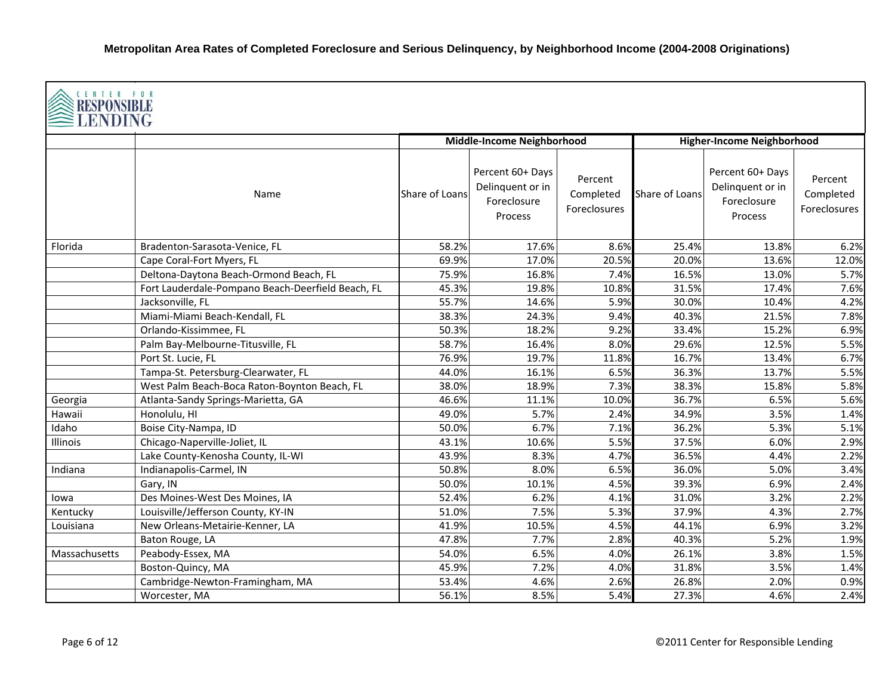| <b>CENTER FOR</b><br><b>RESPONSIBLE</b><br><b>LENDING</b> |                                                   |                |                                                                |                                      |                |                                                                |                                      |  |  |
|-----------------------------------------------------------|---------------------------------------------------|----------------|----------------------------------------------------------------|--------------------------------------|----------------|----------------------------------------------------------------|--------------------------------------|--|--|
|                                                           |                                                   |                | Middle-Income Neighborhood                                     |                                      |                | <b>Higher-Income Neighborhood</b>                              |                                      |  |  |
|                                                           | Name                                              | Share of Loans | Percent 60+ Days<br>Delinquent or in<br>Foreclosure<br>Process | Percent<br>Completed<br>Foreclosures | Share of Loans | Percent 60+ Days<br>Delinquent or in<br>Foreclosure<br>Process | Percent<br>Completed<br>Foreclosures |  |  |
| Florida                                                   | Bradenton-Sarasota-Venice, FL                     | 58.2%          | 17.6%                                                          | 8.6%                                 | 25.4%          | 13.8%                                                          | 6.2%                                 |  |  |
|                                                           | Cape Coral-Fort Myers, FL                         | 69.9%          | 17.0%                                                          | 20.5%                                | 20.0%          | 13.6%                                                          | 12.0%                                |  |  |
|                                                           | Deltona-Daytona Beach-Ormond Beach, FL            | 75.9%          | 16.8%                                                          | 7.4%                                 | 16.5%          | 13.0%                                                          | 5.7%                                 |  |  |
|                                                           | Fort Lauderdale-Pompano Beach-Deerfield Beach, FL | 45.3%          | 19.8%                                                          | 10.8%                                | 31.5%          | 17.4%                                                          | 7.6%                                 |  |  |
|                                                           | Jacksonville, FL                                  | 55.7%          | 14.6%                                                          | 5.9%                                 | 30.0%          | 10.4%                                                          | 4.2%                                 |  |  |
|                                                           | Miami-Miami Beach-Kendall, FL                     | 38.3%          | 24.3%                                                          | 9.4%                                 | 40.3%          | 21.5%                                                          | 7.8%                                 |  |  |
|                                                           | Orlando-Kissimmee, FL                             | 50.3%          | 18.2%                                                          | 9.2%                                 | 33.4%          | 15.2%                                                          | 6.9%                                 |  |  |
|                                                           | Palm Bay-Melbourne-Titusville, FL                 | 58.7%          | 16.4%                                                          | 8.0%                                 | 29.6%          | 12.5%                                                          | 5.5%                                 |  |  |
|                                                           | Port St. Lucie, FL                                | 76.9%          | 19.7%                                                          | 11.8%                                | 16.7%          | 13.4%                                                          | 6.7%                                 |  |  |
|                                                           | Tampa-St. Petersburg-Clearwater, FL               | 44.0%          | 16.1%                                                          | 6.5%                                 | 36.3%          | 13.7%                                                          | 5.5%                                 |  |  |
|                                                           | West Palm Beach-Boca Raton-Boynton Beach, FL      | 38.0%          | 18.9%                                                          | 7.3%                                 | 38.3%          | 15.8%                                                          | 5.8%                                 |  |  |
| Georgia                                                   | Atlanta-Sandy Springs-Marietta, GA                | 46.6%          | 11.1%                                                          | 10.0%                                | 36.7%          | 6.5%                                                           | 5.6%                                 |  |  |
| Hawaii                                                    | Honolulu, HI                                      | 49.0%          | 5.7%                                                           | 2.4%                                 | 34.9%          | 3.5%                                                           | 1.4%                                 |  |  |
| Idaho                                                     | Boise City-Nampa, ID                              | 50.0%          | 6.7%                                                           | 7.1%                                 | 36.2%          | 5.3%                                                           | 5.1%                                 |  |  |
| Illinois                                                  | Chicago-Naperville-Joliet, IL                     | 43.1%          | 10.6%                                                          | 5.5%                                 | 37.5%          | 6.0%                                                           | 2.9%                                 |  |  |
|                                                           | Lake County-Kenosha County, IL-WI                 | 43.9%          | 8.3%                                                           | 4.7%                                 | 36.5%          | 4.4%                                                           | 2.2%                                 |  |  |
| Indiana                                                   | Indianapolis-Carmel, IN                           | 50.8%          | 8.0%                                                           | 6.5%                                 | 36.0%          | 5.0%                                                           | 3.4%                                 |  |  |
|                                                           | Gary, IN                                          | 50.0%          | 10.1%                                                          | 4.5%                                 | 39.3%          | 6.9%                                                           | 2.4%                                 |  |  |
| lowa                                                      | Des Moines-West Des Moines, IA                    | 52.4%          | 6.2%                                                           | 4.1%                                 | 31.0%          | 3.2%                                                           | 2.2%                                 |  |  |
| Kentucky                                                  | Louisville/Jefferson County, KY-IN                | 51.0%          | 7.5%                                                           | 5.3%                                 | 37.9%          | 4.3%                                                           | 2.7%                                 |  |  |
| Louisiana                                                 | New Orleans-Metairie-Kenner, LA                   | 41.9%          | 10.5%                                                          | 4.5%                                 | 44.1%          | 6.9%                                                           | 3.2%                                 |  |  |
|                                                           | Baton Rouge, LA                                   | 47.8%          | 7.7%                                                           | 2.8%                                 | 40.3%          | 5.2%                                                           | 1.9%                                 |  |  |
| Massachusetts                                             | Peabody-Essex, MA                                 | 54.0%          | 6.5%                                                           | 4.0%                                 | 26.1%          | 3.8%                                                           | 1.5%                                 |  |  |
|                                                           | Boston-Quincy, MA                                 | 45.9%          | 7.2%                                                           | 4.0%                                 | 31.8%          | 3.5%                                                           | 1.4%                                 |  |  |
|                                                           | Cambridge-Newton-Framingham, MA                   | 53.4%          | 4.6%                                                           | 2.6%                                 | 26.8%          | 2.0%                                                           | 0.9%                                 |  |  |
|                                                           | Worcester, MA                                     | 56.1%          | 8.5%                                                           | 5.4%                                 | 27.3%          | 4.6%                                                           | 2.4%                                 |  |  |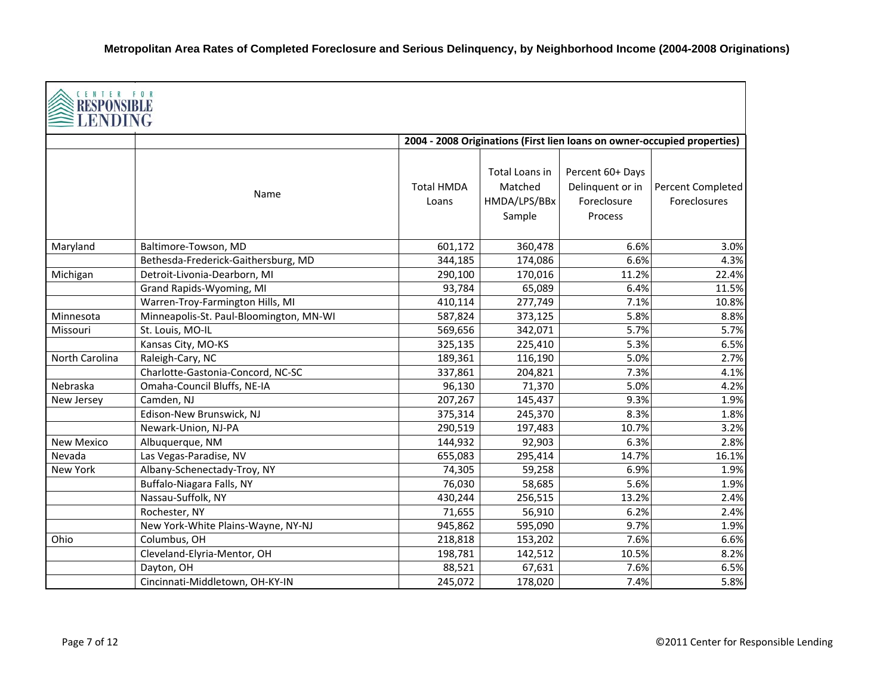| CENTER FOR<br>RESPONSIB<br>ENDING |                                         |                            |                                                     |                                                                |                                                                          |
|-----------------------------------|-----------------------------------------|----------------------------|-----------------------------------------------------|----------------------------------------------------------------|--------------------------------------------------------------------------|
|                                   |                                         |                            |                                                     |                                                                | 2004 - 2008 Originations (First lien loans on owner-occupied properties) |
|                                   | Name                                    | <b>Total HMDA</b><br>Loans | Total Loans in<br>Matched<br>HMDA/LPS/BBx<br>Sample | Percent 60+ Days<br>Delinquent or in<br>Foreclosure<br>Process | Percent Completed<br><b>Foreclosures</b>                                 |
| Maryland                          | Baltimore-Towson, MD                    | 601,172                    | 360,478                                             | 6.6%                                                           | 3.0%                                                                     |
|                                   | Bethesda-Frederick-Gaithersburg, MD     | 344,185                    | 174,086                                             | 6.6%                                                           | 4.3%                                                                     |
| Michigan                          | Detroit-Livonia-Dearborn, MI            | 290,100                    | 170,016                                             | 11.2%                                                          | 22.4%                                                                    |
|                                   | Grand Rapids-Wyoming, MI                | 93,784                     | 65,089                                              | 6.4%                                                           | 11.5%                                                                    |
|                                   | Warren-Troy-Farmington Hills, MI        | 410,114                    | 277,749                                             | 7.1%                                                           | 10.8%                                                                    |
| Minnesota                         | Minneapolis-St. Paul-Bloomington, MN-WI | 587,824                    | 373,125                                             | 5.8%                                                           | 8.8%                                                                     |
| Missouri                          | St. Louis, MO-IL                        | 569,656                    | 342,071                                             | 5.7%                                                           | 5.7%                                                                     |
|                                   | Kansas City, MO-KS                      | 325,135                    | 225,410                                             | 5.3%                                                           | 6.5%                                                                     |
| North Carolina                    | Raleigh-Cary, NC                        | 189,361                    | 116,190                                             | 5.0%                                                           | 2.7%                                                                     |
|                                   | Charlotte-Gastonia-Concord, NC-SC       | 337,861                    | 204,821                                             | 7.3%                                                           | 4.1%                                                                     |
| Nebraska                          | Omaha-Council Bluffs, NE-IA             | 96,130                     | 71,370                                              | 5.0%                                                           | 4.2%                                                                     |
| New Jersey                        | Camden, NJ                              | 207,267                    | 145,437                                             | 9.3%                                                           | 1.9%                                                                     |
|                                   | Edison-New Brunswick, NJ                | 375,314                    | 245,370                                             | 8.3%                                                           | 1.8%                                                                     |
|                                   | Newark-Union, NJ-PA                     | 290,519                    | 197,483                                             | 10.7%                                                          | 3.2%                                                                     |
| <b>New Mexico</b>                 | Albuquerque, NM                         | 144,932                    | 92,903                                              | 6.3%                                                           | 2.8%                                                                     |
| Nevada                            | Las Vegas-Paradise, NV                  | 655,083                    | 295,414                                             | 14.7%                                                          | 16.1%                                                                    |
| New York                          | Albany-Schenectady-Troy, NY             | 74,305                     | 59,258                                              | 6.9%                                                           | 1.9%                                                                     |
|                                   | Buffalo-Niagara Falls, NY               | 76,030                     | 58,685                                              | 5.6%                                                           | 1.9%                                                                     |
|                                   | Nassau-Suffolk, NY                      | 430,244                    | 256,515                                             | 13.2%                                                          | 2.4%                                                                     |
|                                   | Rochester, NY                           | 71,655                     | 56,910                                              | 6.2%                                                           | 2.4%                                                                     |
|                                   | New York-White Plains-Wayne, NY-NJ      | 945,862                    | 595,090                                             | 9.7%                                                           | 1.9%                                                                     |
| Ohio                              | Columbus, OH                            | 218,818                    | 153,202                                             | 7.6%                                                           | 6.6%                                                                     |
|                                   | Cleveland-Elyria-Mentor, OH             | 198,781                    | 142,512                                             | 10.5%                                                          | 8.2%                                                                     |
|                                   | Dayton, OH                              | 88,521                     | 67,631                                              | 7.6%                                                           | 6.5%                                                                     |
|                                   | Cincinnati-Middletown, OH-KY-IN         | 245,072                    | 178,020                                             | 7.4%                                                           | 5.8%                                                                     |

г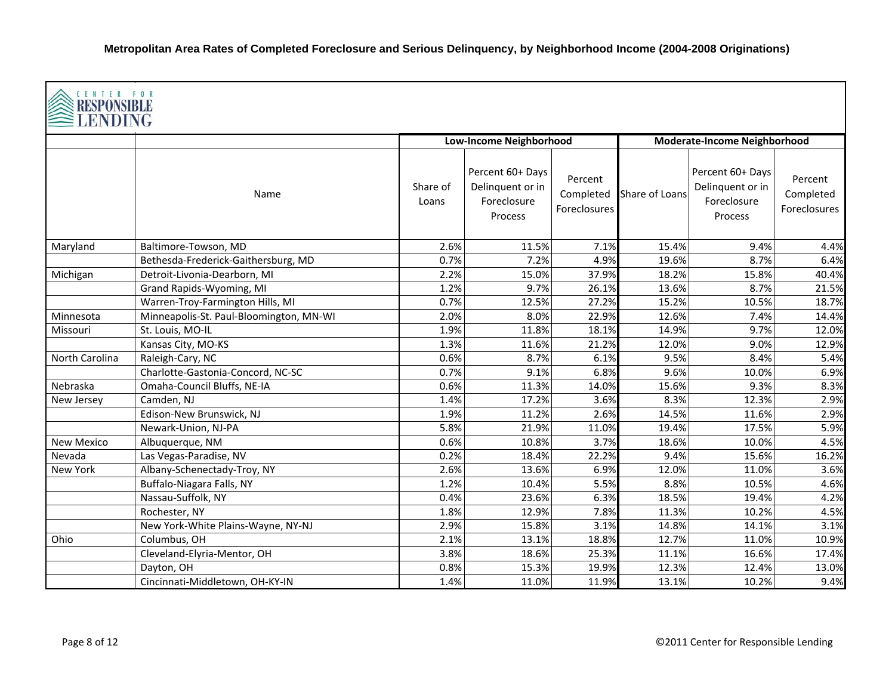| CENTER FOR<br>RESPONSIBLE<br>LENDING |                                         |                   |                                                                |                                      |                |                                                                |                                      |  |  |
|--------------------------------------|-----------------------------------------|-------------------|----------------------------------------------------------------|--------------------------------------|----------------|----------------------------------------------------------------|--------------------------------------|--|--|
|                                      |                                         |                   | <b>Low-Income Neighborhood</b>                                 |                                      |                | <b>Moderate-Income Neighborhood</b>                            |                                      |  |  |
|                                      | Name                                    | Share of<br>Loans | Percent 60+ Days<br>Delinquent or in<br>Foreclosure<br>Process | Percent<br>Completed<br>Foreclosures | Share of Loans | Percent 60+ Days<br>Delinquent or in<br>Foreclosure<br>Process | Percent<br>Completed<br>Foreclosures |  |  |
| Maryland                             | Baltimore-Towson, MD                    | 2.6%              | 11.5%                                                          | 7.1%                                 | 15.4%          | 9.4%                                                           | 4.4%                                 |  |  |
|                                      | Bethesda-Frederick-Gaithersburg, MD     | 0.7%              | 7.2%                                                           | 4.9%                                 | 19.6%          | 8.7%                                                           | 6.4%                                 |  |  |
| Michigan                             | Detroit-Livonia-Dearborn, MI            | 2.2%              | 15.0%                                                          | 37.9%                                | 18.2%          | 15.8%                                                          | 40.4%                                |  |  |
|                                      | Grand Rapids-Wyoming, MI                | 1.2%              | 9.7%                                                           | 26.1%                                | 13.6%          | 8.7%                                                           | 21.5%                                |  |  |
|                                      | Warren-Troy-Farmington Hills, MI        | 0.7%              | 12.5%                                                          | 27.2%                                | 15.2%          | 10.5%                                                          | 18.7%                                |  |  |
| Minnesota                            | Minneapolis-St. Paul-Bloomington, MN-WI | 2.0%              | 8.0%                                                           | 22.9%                                | 12.6%          | 7.4%                                                           | 14.4%                                |  |  |
| Missouri                             | St. Louis, MO-IL                        | 1.9%              | 11.8%                                                          | 18.1%                                | 14.9%          | 9.7%                                                           | 12.0%                                |  |  |
|                                      | Kansas City, MO-KS                      | 1.3%              | 11.6%                                                          | 21.2%                                | 12.0%          | 9.0%                                                           | 12.9%                                |  |  |
| North Carolina                       | Raleigh-Cary, NC                        | 0.6%              | 8.7%                                                           | 6.1%                                 | 9.5%           | 8.4%                                                           | 5.4%                                 |  |  |
|                                      | Charlotte-Gastonia-Concord, NC-SC       | 0.7%              | 9.1%                                                           | 6.8%                                 | 9.6%           | 10.0%                                                          | 6.9%                                 |  |  |
| Nebraska                             | Omaha-Council Bluffs, NE-IA             | 0.6%              | 11.3%                                                          | 14.0%                                | 15.6%          | 9.3%                                                           | 8.3%                                 |  |  |
| New Jersey                           | Camden, NJ                              | 1.4%              | 17.2%                                                          | 3.6%                                 | 8.3%           | 12.3%                                                          | 2.9%                                 |  |  |
|                                      | Edison-New Brunswick, NJ                | 1.9%              | 11.2%                                                          | 2.6%                                 | 14.5%          | 11.6%                                                          | 2.9%                                 |  |  |
|                                      | Newark-Union, NJ-PA                     | 5.8%              | 21.9%                                                          | 11.0%                                | 19.4%          | 17.5%                                                          | 5.9%                                 |  |  |
| <b>New Mexico</b>                    | Albuquerque, NM                         | 0.6%              | 10.8%                                                          | 3.7%                                 | 18.6%          | 10.0%                                                          | 4.5%                                 |  |  |
| Nevada                               | Las Vegas-Paradise, NV                  | 0.2%              | 18.4%                                                          | 22.2%                                | 9.4%           | 15.6%                                                          | 16.2%                                |  |  |
| New York                             | Albany-Schenectady-Troy, NY             | 2.6%              | 13.6%                                                          | 6.9%                                 | 12.0%          | 11.0%                                                          | 3.6%                                 |  |  |
|                                      | Buffalo-Niagara Falls, NY               | 1.2%              | 10.4%                                                          | 5.5%                                 | 8.8%           | 10.5%                                                          | 4.6%                                 |  |  |
|                                      | Nassau-Suffolk, NY                      | 0.4%              | 23.6%                                                          | 6.3%                                 | 18.5%          | 19.4%                                                          | 4.2%                                 |  |  |
|                                      | Rochester, NY                           | 1.8%              | 12.9%                                                          | 7.8%                                 | 11.3%          | 10.2%                                                          | 4.5%                                 |  |  |
|                                      | New York-White Plains-Wayne, NY-NJ      | 2.9%              | 15.8%                                                          | 3.1%                                 | 14.8%          | 14.1%                                                          | 3.1%                                 |  |  |
| Ohio                                 | Columbus, OH                            | 2.1%              | 13.1%                                                          | 18.8%                                | 12.7%          | 11.0%                                                          | 10.9%                                |  |  |
|                                      | Cleveland-Elyria-Mentor, OH             | 3.8%              | 18.6%                                                          | 25.3%                                | 11.1%          | 16.6%                                                          | 17.4%                                |  |  |
|                                      | Dayton, OH                              | 0.8%              | 15.3%                                                          | 19.9%                                | 12.3%          | 12.4%                                                          | 13.0%                                |  |  |
|                                      | Cincinnati-Middletown, OH-KY-IN         | 1.4%              | 11.0%                                                          | 11.9%                                | 13.1%          | 10.2%                                                          | 9.4%                                 |  |  |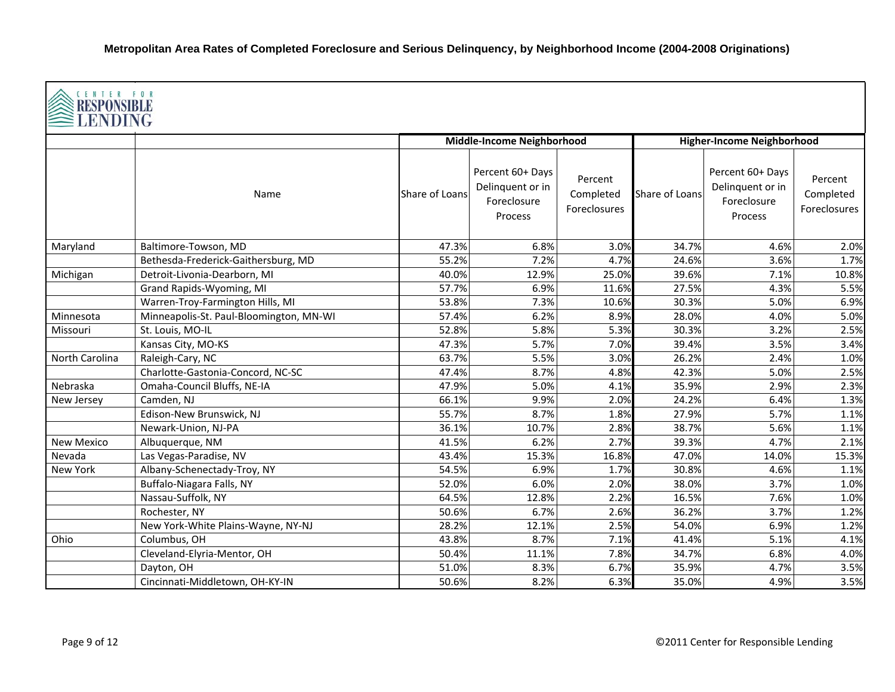| CENTER FOR<br>RESPONSIBLE<br>LENDING |                                         |                |                                                                |                                      |                |                                                                |                                      |  |  |
|--------------------------------------|-----------------------------------------|----------------|----------------------------------------------------------------|--------------------------------------|----------------|----------------------------------------------------------------|--------------------------------------|--|--|
|                                      |                                         |                | Middle-Income Neighborhood                                     |                                      |                | <b>Higher-Income Neighborhood</b>                              |                                      |  |  |
|                                      | Name                                    | Share of Loans | Percent 60+ Days<br>Delinquent or in<br>Foreclosure<br>Process | Percent<br>Completed<br>Foreclosures | Share of Loans | Percent 60+ Days<br>Delinquent or in<br>Foreclosure<br>Process | Percent<br>Completed<br>Foreclosures |  |  |
| Maryland                             | Baltimore-Towson, MD                    | 47.3%          | 6.8%                                                           | 3.0%                                 | 34.7%          | 4.6%                                                           | 2.0%                                 |  |  |
|                                      | Bethesda-Frederick-Gaithersburg, MD     | 55.2%          | 7.2%                                                           | 4.7%                                 | 24.6%          | 3.6%                                                           | 1.7%                                 |  |  |
| Michigan                             | Detroit-Livonia-Dearborn, MI            | 40.0%          | 12.9%                                                          | 25.0%                                | 39.6%          | 7.1%                                                           | 10.8%                                |  |  |
|                                      | Grand Rapids-Wyoming, MI                | 57.7%          | 6.9%                                                           | 11.6%                                | 27.5%          | 4.3%                                                           | 5.5%                                 |  |  |
|                                      | Warren-Troy-Farmington Hills, MI        | 53.8%          | 7.3%                                                           | 10.6%                                | 30.3%          | 5.0%                                                           | 6.9%                                 |  |  |
| Minnesota                            | Minneapolis-St. Paul-Bloomington, MN-WI | 57.4%          | 6.2%                                                           | 8.9%                                 | 28.0%          | 4.0%                                                           | 5.0%                                 |  |  |
| Missouri                             | St. Louis, MO-IL                        | 52.8%          | 5.8%                                                           | 5.3%                                 | 30.3%          | 3.2%                                                           | 2.5%                                 |  |  |
|                                      | Kansas City, MO-KS                      | 47.3%          | 5.7%                                                           | 7.0%                                 | 39.4%          | 3.5%                                                           | 3.4%                                 |  |  |
| North Carolina                       | Raleigh-Cary, NC                        | 63.7%          | 5.5%                                                           | 3.0%                                 | 26.2%          | 2.4%                                                           | 1.0%                                 |  |  |
|                                      | Charlotte-Gastonia-Concord, NC-SC       | 47.4%          | 8.7%                                                           | 4.8%                                 | 42.3%          | 5.0%                                                           | 2.5%                                 |  |  |
| Nebraska                             | Omaha-Council Bluffs, NE-IA             | 47.9%          | 5.0%                                                           | 4.1%                                 | 35.9%          | 2.9%                                                           | 2.3%                                 |  |  |
| New Jersey                           | Camden, NJ                              | 66.1%          | 9.9%                                                           | 2.0%                                 | 24.2%          | 6.4%                                                           | 1.3%                                 |  |  |
|                                      | Edison-New Brunswick, NJ                | 55.7%          | 8.7%                                                           | 1.8%                                 | 27.9%          | 5.7%                                                           | 1.1%                                 |  |  |
|                                      | Newark-Union, NJ-PA                     | 36.1%          | 10.7%                                                          | 2.8%                                 | 38.7%          | 5.6%                                                           | 1.1%                                 |  |  |
| New Mexico                           | Albuquerque, NM                         | 41.5%          | 6.2%                                                           | 2.7%                                 | 39.3%          | 4.7%                                                           | 2.1%                                 |  |  |
| Nevada                               | Las Vegas-Paradise, NV                  | 43.4%          | 15.3%                                                          | 16.8%                                | 47.0%          | 14.0%                                                          | 15.3%                                |  |  |
| New York                             | Albany-Schenectady-Troy, NY             | 54.5%          | 6.9%                                                           | 1.7%                                 | 30.8%          | 4.6%                                                           | 1.1%                                 |  |  |
|                                      | Buffalo-Niagara Falls, NY               | 52.0%          | 6.0%                                                           | 2.0%                                 | 38.0%          | 3.7%                                                           | 1.0%                                 |  |  |
|                                      | Nassau-Suffolk, NY                      | 64.5%          | 12.8%                                                          | 2.2%                                 | 16.5%          | 7.6%                                                           | 1.0%                                 |  |  |
|                                      | Rochester, NY                           | 50.6%          | 6.7%                                                           | 2.6%                                 | 36.2%          | 3.7%                                                           | 1.2%                                 |  |  |
|                                      | New York-White Plains-Wayne, NY-NJ      | 28.2%          | 12.1%                                                          | 2.5%                                 | 54.0%          | 6.9%                                                           | 1.2%                                 |  |  |
| Ohio                                 | Columbus, OH                            | 43.8%          | 8.7%                                                           | 7.1%                                 | 41.4%          | 5.1%                                                           | 4.1%                                 |  |  |
|                                      | Cleveland-Elyria-Mentor, OH             | 50.4%          | 11.1%                                                          | 7.8%                                 | 34.7%          | 6.8%                                                           | 4.0%                                 |  |  |
|                                      | Dayton, OH                              | 51.0%          | 8.3%                                                           | 6.7%                                 | 35.9%          | 4.7%                                                           | 3.5%                                 |  |  |
|                                      | Cincinnati-Middletown, OH-KY-IN         | 50.6%          | 8.2%                                                           | 6.3%                                 | 35.0%          | 4.9%                                                           | 3.5%                                 |  |  |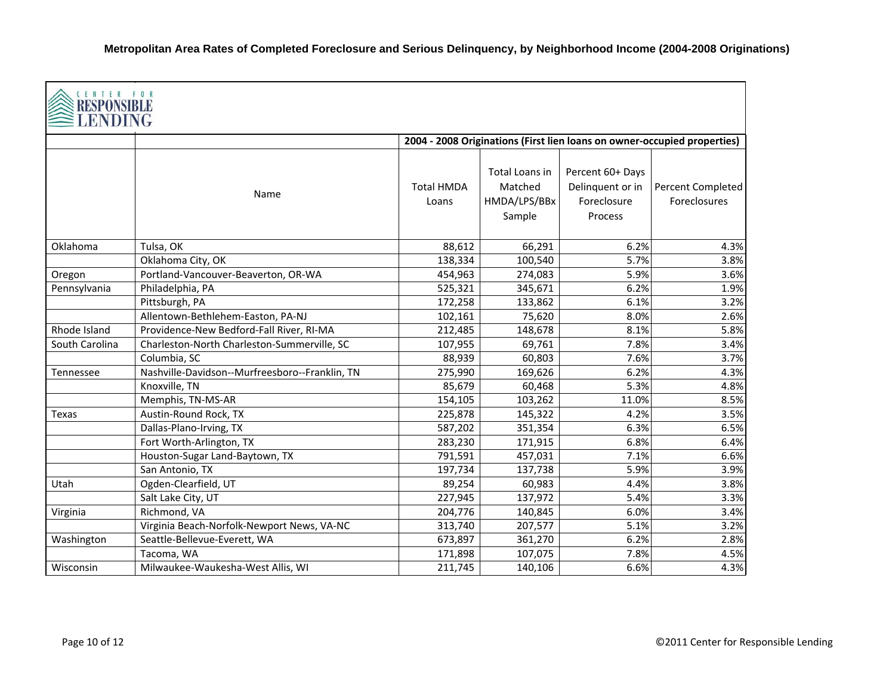| CENTER FOR<br>RESPONSIB<br>LENDING |                                                |                            |                                                     |                                                                          |                                   |
|------------------------------------|------------------------------------------------|----------------------------|-----------------------------------------------------|--------------------------------------------------------------------------|-----------------------------------|
|                                    |                                                |                            |                                                     | 2004 - 2008 Originations (First lien loans on owner-occupied properties) |                                   |
|                                    | Name                                           | <b>Total HMDA</b><br>Loans | Total Loans in<br>Matched<br>HMDA/LPS/BBx<br>Sample | Percent 60+ Days<br>Delinquent or in<br>Foreclosure<br>Process           | Percent Completed<br>Foreclosures |
| Oklahoma                           | Tulsa, OK                                      | 88,612                     | 66,291                                              | 6.2%                                                                     | 4.3%                              |
|                                    | Oklahoma City, OK                              | 138,334                    | 100,540                                             | 5.7%                                                                     | 3.8%                              |
| Oregon                             | Portland-Vancouver-Beaverton, OR-WA            | 454,963                    | 274,083                                             | 5.9%                                                                     | 3.6%                              |
| Pennsylvania                       | Philadelphia, PA                               | 525,321                    | 345,671                                             | 6.2%                                                                     | 1.9%                              |
|                                    | Pittsburgh, PA                                 | 172,258                    | 133,862                                             | 6.1%                                                                     | 3.2%                              |
|                                    | Allentown-Bethlehem-Easton, PA-NJ              | 102,161                    | 75,620                                              | 8.0%                                                                     | 2.6%                              |
| Rhode Island                       | Providence-New Bedford-Fall River, RI-MA       | 212,485                    | 148,678                                             | 8.1%                                                                     | 5.8%                              |
| South Carolina                     | Charleston-North Charleston-Summerville, SC    | 107,955                    | 69,761                                              | 7.8%                                                                     | 3.4%                              |
|                                    | Columbia, SC                                   | 88,939                     | 60,803                                              | 7.6%                                                                     | 3.7%                              |
| Tennessee                          | Nashville-Davidson--Murfreesboro--Franklin, TN | 275,990                    | 169,626                                             | 6.2%                                                                     | 4.3%                              |
|                                    | Knoxville, TN                                  | 85,679                     | 60,468                                              | 5.3%                                                                     | 4.8%                              |
|                                    | Memphis, TN-MS-AR                              | 154,105                    | 103,262                                             | 11.0%                                                                    | 8.5%                              |
| Texas                              | Austin-Round Rock, TX                          | 225,878                    | 145,322                                             | 4.2%                                                                     | 3.5%                              |
|                                    | Dallas-Plano-Irving, TX                        | 587,202                    | 351,354                                             | 6.3%                                                                     | 6.5%                              |
|                                    | Fort Worth-Arlington, TX                       | 283,230                    | 171,915                                             | 6.8%                                                                     | 6.4%                              |
|                                    | Houston-Sugar Land-Baytown, TX                 | 791,591                    | 457,031                                             | 7.1%                                                                     | 6.6%                              |
|                                    | San Antonio, TX                                | 197,734                    | 137,738                                             | 5.9%                                                                     | 3.9%                              |
| Utah                               | Ogden-Clearfield, UT                           | 89,254                     | 60,983                                              | 4.4%                                                                     | 3.8%                              |
|                                    | Salt Lake City, UT                             | 227,945                    | 137,972                                             | 5.4%                                                                     | 3.3%                              |
| Virginia                           | Richmond, VA                                   | 204,776                    | 140,845                                             | 6.0%                                                                     | 3.4%                              |
|                                    | Virginia Beach-Norfolk-Newport News, VA-NC     | 313,740                    | 207,577                                             | 5.1%                                                                     | 3.2%                              |
| Washington                         | Seattle-Bellevue-Everett, WA                   | 673,897                    | 361,270                                             | 6.2%                                                                     | 2.8%                              |
|                                    | Tacoma, WA                                     | 171,898                    | 107,075                                             | 7.8%                                                                     | 4.5%                              |
| Wisconsin                          | Milwaukee-Waukesha-West Allis, WI              | 211,745                    | 140,106                                             | 6.6%                                                                     | 4.3%                              |

г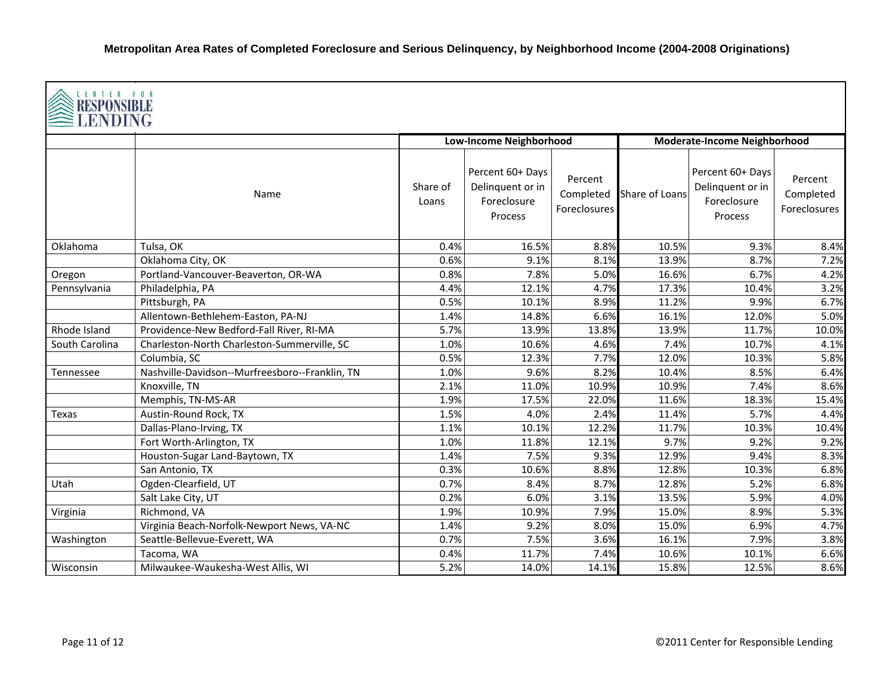| CENTER FOR<br><b>RESPONSIBLE</b><br>LENDING |                                                |                   |                                                                |                                      |                              |                                                                |                                             |  |  |
|---------------------------------------------|------------------------------------------------|-------------------|----------------------------------------------------------------|--------------------------------------|------------------------------|----------------------------------------------------------------|---------------------------------------------|--|--|
|                                             |                                                |                   | <b>Low-Income Neighborhood</b>                                 |                                      | Moderate-Income Neighborhood |                                                                |                                             |  |  |
|                                             | Name                                           | Share of<br>Loans | Percent 60+ Days<br>Delinquent or in<br>Foreclosure<br>Process | Percent<br>Completed<br>Foreclosures | Share of Loans               | Percent 60+ Days<br>Delinquent or in<br>Foreclosure<br>Process | Percent<br>Completed<br><b>Foreclosures</b> |  |  |
| Oklahoma                                    | Tulsa, OK                                      | 0.4%              | 16.5%                                                          | 8.8%                                 | 10.5%                        | 9.3%                                                           | 8.4%                                        |  |  |
|                                             | Oklahoma City, OK                              | 0.6%              | 9.1%                                                           | 8.1%                                 | 13.9%                        | 8.7%                                                           | 7.2%                                        |  |  |
| Oregon                                      | Portland-Vancouver-Beaverton, OR-WA            | 0.8%              | 7.8%                                                           | 5.0%                                 | 16.6%                        | 6.7%                                                           | 4.2%                                        |  |  |
| Pennsylvania                                | Philadelphia, PA                               | 4.4%              | 12.1%                                                          | 4.7%                                 | 17.3%                        | 10.4%                                                          | 3.2%                                        |  |  |
|                                             | Pittsburgh, PA                                 | 0.5%              | 10.1%                                                          | 8.9%                                 | 11.2%                        | 9.9%                                                           | 6.7%                                        |  |  |
|                                             | Allentown-Bethlehem-Easton, PA-NJ              | 1.4%              | 14.8%                                                          | 6.6%                                 | 16.1%                        | 12.0%                                                          | 5.0%                                        |  |  |
| Rhode Island                                | Providence-New Bedford-Fall River, RI-MA       | 5.7%              | 13.9%                                                          | 13.8%                                | 13.9%                        | 11.7%                                                          | 10.0%                                       |  |  |
| South Carolina                              | Charleston-North Charleston-Summerville, SC    | 1.0%              | 10.6%                                                          | 4.6%                                 | 7.4%                         | 10.7%                                                          | 4.1%                                        |  |  |
|                                             | Columbia, SC                                   | 0.5%              | 12.3%                                                          | 7.7%                                 | 12.0%                        | 10.3%                                                          | 5.8%                                        |  |  |
| Tennessee                                   | Nashville-Davidson--Murfreesboro--Franklin, TN | 1.0%              | 9.6%                                                           | 8.2%                                 | 10.4%                        | 8.5%                                                           | 6.4%                                        |  |  |
|                                             | Knoxville, TN                                  | 2.1%              | 11.0%                                                          | 10.9%                                | 10.9%                        | 7.4%                                                           | 8.6%                                        |  |  |
|                                             | Memphis, TN-MS-AR                              | 1.9%              | 17.5%                                                          | 22.0%                                | 11.6%                        | 18.3%                                                          | 15.4%                                       |  |  |
| Texas                                       | Austin-Round Rock, TX                          | 1.5%              | 4.0%                                                           | 2.4%                                 | 11.4%                        | 5.7%                                                           | 4.4%                                        |  |  |
|                                             | Dallas-Plano-Irving, TX                        | 1.1%              | 10.1%                                                          | 12.2%                                | 11.7%                        | 10.3%                                                          | 10.4%                                       |  |  |
|                                             | Fort Worth-Arlington, TX                       | 1.0%              | 11.8%                                                          | 12.1%                                | 9.7%                         | 9.2%                                                           | 9.2%                                        |  |  |
|                                             | Houston-Sugar Land-Baytown, TX                 | 1.4%              | 7.5%                                                           | 9.3%                                 | 12.9%                        | 9.4%                                                           | 8.3%                                        |  |  |
|                                             | San Antonio, TX                                | 0.3%              | 10.6%                                                          | 8.8%                                 | 12.8%                        | 10.3%                                                          | 6.8%                                        |  |  |
| Utah                                        | Ogden-Clearfield, UT                           | 0.7%              | 8.4%                                                           | 8.7%                                 | 12.8%                        | 5.2%                                                           | 6.8%                                        |  |  |
|                                             | Salt Lake City, UT                             | 0.2%              | 6.0%                                                           | 3.1%                                 | 13.5%                        | 5.9%                                                           | 4.0%                                        |  |  |
| Virginia                                    | Richmond, VA                                   | 1.9%              | 10.9%                                                          | 7.9%                                 | 15.0%                        | 8.9%                                                           | 5.3%                                        |  |  |
|                                             | Virginia Beach-Norfolk-Newport News, VA-NC     | 1.4%              | 9.2%                                                           | 8.0%                                 | 15.0%                        | 6.9%                                                           | 4.7%                                        |  |  |
| Washington                                  | Seattle-Bellevue-Everett, WA                   | 0.7%              | 7.5%                                                           | 3.6%                                 | 16.1%                        | 7.9%                                                           | 3.8%                                        |  |  |
|                                             | Tacoma, WA                                     | 0.4%              | 11.7%                                                          | 7.4%                                 | 10.6%                        | 10.1%                                                          | 6.6%                                        |  |  |
| Wisconsin                                   | Milwaukee-Waukesha-West Allis, WI              | 5.2%              | 14.0%                                                          | 14.1%                                | 15.8%                        | 12.5%                                                          | 8.6%                                        |  |  |